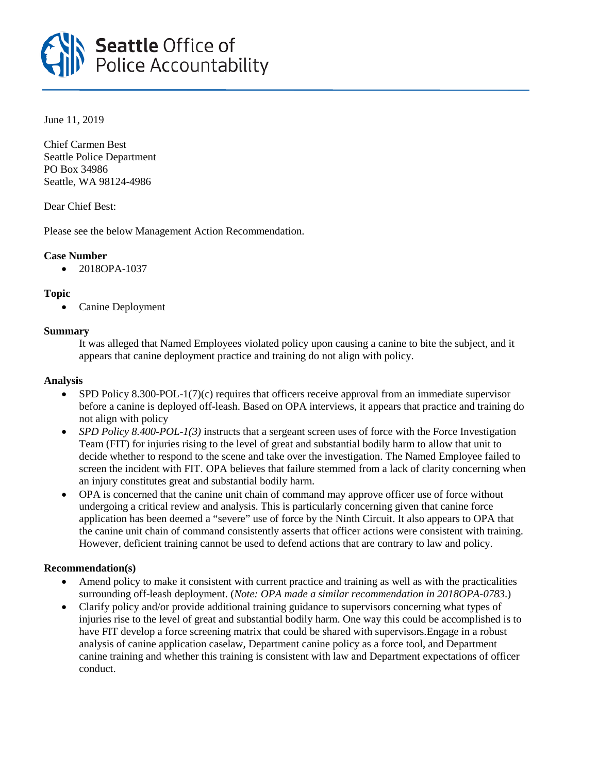

June 11, 2019

Chief Carmen Best Seattle Police Department PO Box 34986 Seattle, WA 98124-4986

Dear Chief Best:

Please see the below Management Action Recommendation.

## **Case Number**

• 2018OPA-1037

## **Topic**

• Canine Deployment

## **Summary**

It was alleged that Named Employees violated policy upon causing a canine to bite the subject, and it appears that canine deployment practice and training do not align with policy.

## **Analysis**

- SPD Policy 8.300-POL-1(7)(c) requires that officers receive approval from an immediate supervisor before a canine is deployed off-leash. Based on OPA interviews, it appears that practice and training do not align with policy
- *SPD Policy 8.400-POL-1(3)* instructs that a sergeant screen uses of force with the Force Investigation Team (FIT) for injuries rising to the level of great and substantial bodily harm to allow that unit to decide whether to respond to the scene and take over the investigation. The Named Employee failed to screen the incident with FIT. OPA believes that failure stemmed from a lack of clarity concerning when an injury constitutes great and substantial bodily harm.
- OPA is concerned that the canine unit chain of command may approve officer use of force without undergoing a critical review and analysis. This is particularly concerning given that canine force application has been deemed a "severe" use of force by the Ninth Circuit. It also appears to OPA that the canine unit chain of command consistently asserts that officer actions were consistent with training. However, deficient training cannot be used to defend actions that are contrary to law and policy.

# **Recommendation(s)**

- Amend policy to make it consistent with current practice and training as well as with the practicalities surrounding off-leash deployment. (*Note: OPA made a similar recommendation in 2018OPA-0783*.)
- Clarify policy and/or provide additional training guidance to supervisors concerning what types of injuries rise to the level of great and substantial bodily harm. One way this could be accomplished is to have FIT develop a force screening matrix that could be shared with supervisors.Engage in a robust analysis of canine application caselaw, Department canine policy as a force tool, and Department canine training and whether this training is consistent with law and Department expectations of officer conduct.